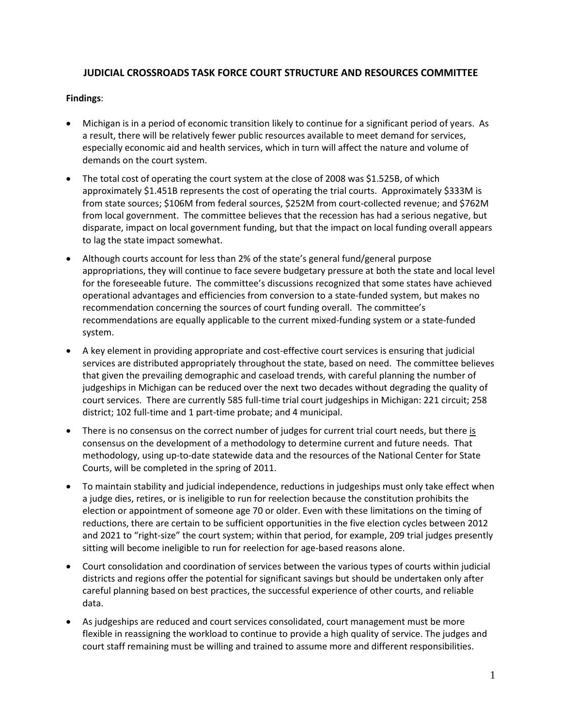## **JUDICIAL CROSSROADS TASK FORCE COURT STRUCTURE AND RESOURCES COMMITTEE**

## **Findings**:

- Michigan is in a period of economic transition likely to continue for a significant period of years. As a result, there will be relatively fewer public resources available to meet demand for services, especially economic aid and health services, which in turn will affect the nature and volume of demands on the court system.
- The total cost of operating the court system at the close of 2008 was \$1.525B, of which approximately \$1.451B represents the cost of operating the trial courts. Approximately \$333M is from state sources; \$106M from federal sources, \$252M from court-collected revenue; and \$762M from local government. The committee believes that the recession has had a serious negative, but disparate, impact on local government funding, but that the impact on local funding overall appears to lag the state impact somewhat.
- Although courts account for less than 2% of the state's general fund/general purpose appropriations, they will continue to face severe budgetary pressure at both the state and local level for the foreseeable future. The committee's discussions recognized that some states have achieved operational advantages and efficiencies from conversion to a state-funded system, but makes no recommendation concerning the sources of court funding overall. The committee's recommendations are equally applicable to the current mixed-funding system or a state-funded system.
- A key element in providing appropriate and cost-effective court services is ensuring that judicial services are distributed appropriately throughout the state, based on need. The committee believes that given the prevailing demographic and caseload trends, with careful planning the number of judgeships in Michigan can be reduced over the next two decades without degrading the quality of court services. There are currently 585 full-time trial court judgeships in Michigan: 221 circuit; 258 district; 102 full-time and 1 part-time probate; and 4 municipal.
- There is no consensus on the correct number of judges for current trial court needs, but there is consensus on the development of a methodology to determine current and future needs. That methodology, using up-to-date statewide data and the resources of the National Center for State Courts, will be completed in the spring of 2011.
- To maintain stability and judicial independence, reductions in judgeships must only take effect when a judge dies, retires, or is ineligible to run for reelection because the constitution prohibits the election or appointment of someone age 70 or older. Even with these limitations on the timing of reductions, there are certain to be sufficient opportunities in the five election cycles between 2012 and 2021 to "right-size" the court system; within that period, for example, 209 trial judges presently sitting will become ineligible to run for reelection for age-based reasons alone.
- Court consolidation and coordination of services between the various types of courts within judicial districts and regions offer the potential for significant savings but should be undertaken only after careful planning based on best practices, the successful experience of other courts, and reliable data.
- As judgeships are reduced and court services consolidated, court management must be more flexible in reassigning the workload to continue to provide a high quality of service. The judges and court staff remaining must be willing and trained to assume more and different responsibilities.